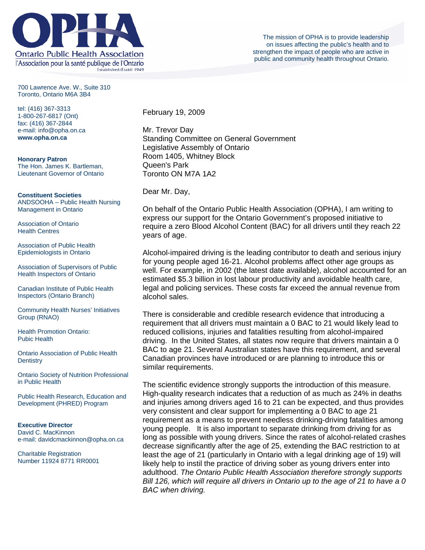

700 Lawrence Ave. W., Suite 310 Toronto, Ontario M6A 3B4

tel: (416) 367-3313 1-800-267-6817 (Ont) fax: (416) 367-2844 e-mail: info@opha.on.ca **www.opha.on.ca** 

**Honorary Patron**  The Hon. James K. Bartleman, Lieutenant Governor of Ontario

**Constituent Societies**  ANDSOOHA – Public Health Nursing Management in Ontario

Association of Ontario Health Centres

Association of Public Health Epidemiologists in Ontario

Association of Supervisors of Public Health Inspectors of Ontario

Canadian Institute of Public Health Inspectors (Ontario Branch)

Community Health Nurses' Initiatives Group (RNAO)

Health Promotion Ontario: Pubic Health

Ontario Association of Public Health **Dentistry** 

Ontario Society of Nutrition Professional in Public Health

Public Health Research, Education and Development (PHRED) Program

**Executive Director**  David C. MacKinnon e-mail: davidcmackinnon@opha.on.ca

Charitable Registration Number 11924 8771 RR0001 February 19, 2009

Mr. Trevor Day Standing Committee on General Government Legislative Assembly of Ontario Room 1405, Whitney Block Queen's Park Toronto ON M7A 1A2

Dear Mr. Day,

On behalf of the Ontario Public Health Association (OPHA), I am writing to express our support for the Ontario Government's proposed initiative to require a zero Blood Alcohol Content (BAC) for all drivers until they reach 22 years of age.

Alcohol-impaired driving is the leading contributor to death and serious injury for young people aged 16-21. Alcohol problems affect other age groups as well. For example, in 2002 (the latest date available), alcohol accounted for an estimated \$5.3 billion in lost labour productivity and avoidable health care, legal and policing services. These costs far exceed the annual revenue from alcohol sales.

There is considerable and credible research evidence that introducing a requirement that all drivers must maintain a 0 BAC to 21 would likely lead to reduced collisions, injuries and fatalities resulting from alcohol-impaired driving. In the United States, all states now require that drivers maintain a 0 BAC to age 21. Several Australian states have this requirement, and several Canadian provinces have introduced or are planning to introduce this or similar requirements.

The scientific evidence strongly supports the introduction of this measure. High-quality research indicates that a reduction of as much as 24% in deaths and injuries among drivers aged 16 to 21 can be expected, and thus provides very consistent and clear support for implementing a 0 BAC to age 21 requirement as a means to prevent needless drinking-driving fatalities among young people. It is also important to separate drinking from driving for as long as possible with young drivers. Since the rates of alcohol-related crashes decrease significantly after the age of 25, extending the BAC restriction to at least the age of 21 (particularly in Ontario with a legal drinking age of 19) will likely help to instil the practice of driving sober as young drivers enter into adulthood. *The Ontario Public Health Association therefore strongly supports Bill 126, which will require all drivers in Ontario up to the age of 21 to have a 0 BAC when driving.*